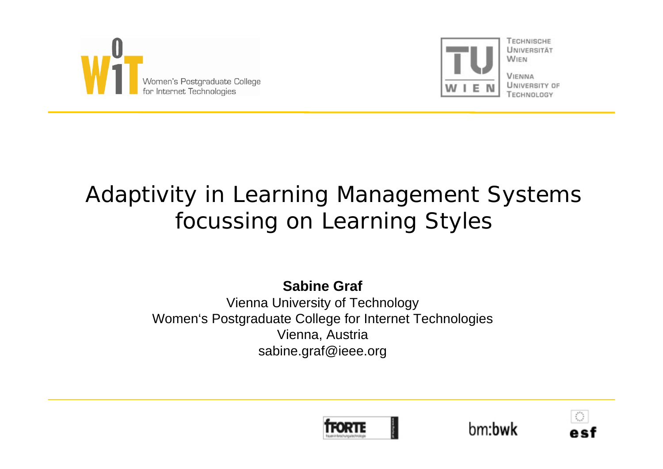



TECHNISCHE LINIVERSITÄT **WIEN** 

**VIENNA** UNIVERSITY OF TECHNOLOGY

# Adaptivity in Learning Management Systems focussing on Learning Styles

**Sabine Graf**

Vienna University of Technology Women's Postgraduate College for Internet Technologies Vienna, Austria sabine.graf@ieee.org





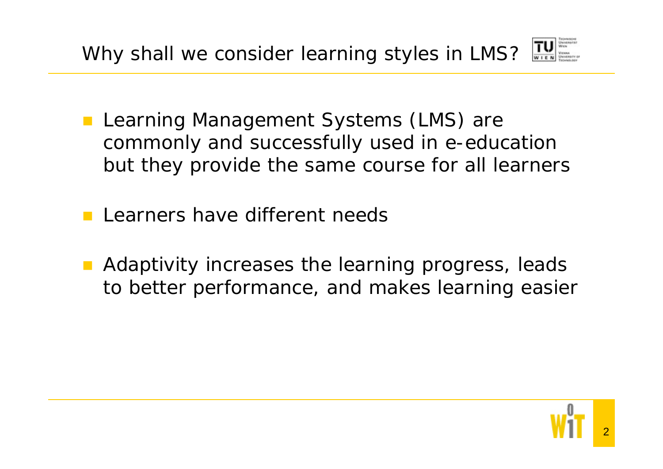

- **Learning Management Systems (LMS) are** commonly and successfully used in e-education but they provide the same course for all learners
- Learners have different needs
- Adaptivity increases the learning progress, leads to better performance, and makes learning easier

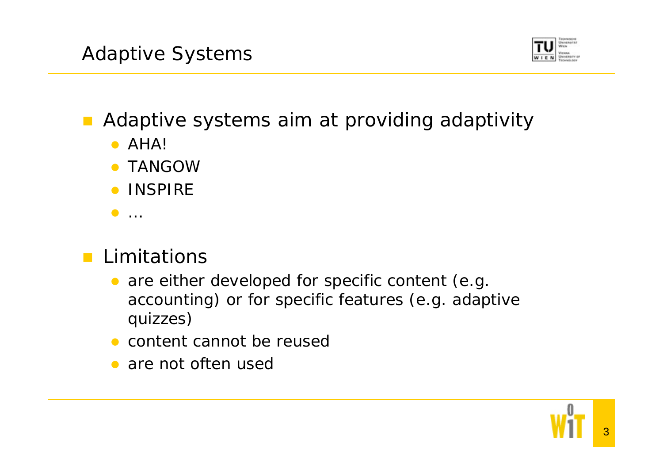

Adaptive systems aim at providing adaptivity

- $\bullet$  AHA!
- **TANGOW**
- **INSPIRE**
- $\bullet$  …

## **Limitations**

- $\bullet$  are either developed for specific content (e.g. accounting) or for specific features (e.g. adaptive quizzes)
- content cannot be reused
- are not often used

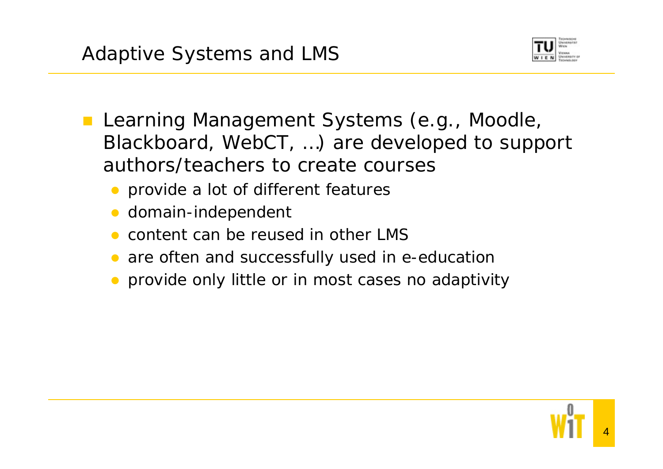

- **Learning Management Systems (e.g., Moodle,** Blackboard, WebCT, …) are developed to support authors/teachers to create courses
	- provide a lot of different features
	- $\bullet$ domain-independent
	- $\bullet$ content can be reused in other LMS
	- are often and successfully used in e-education
	- provide only little or in most cases no adaptivity

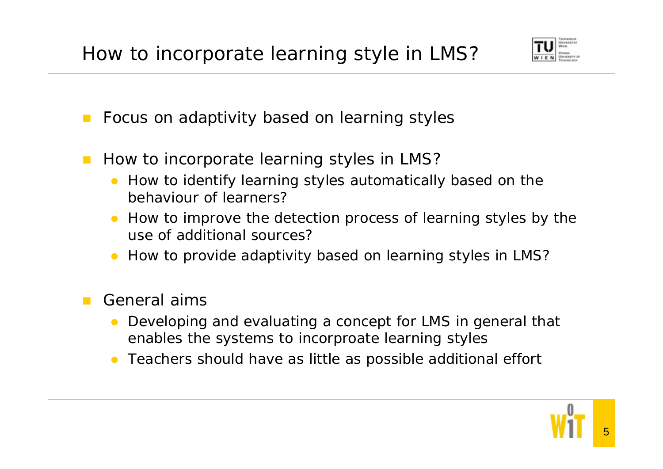

- $\mathcal{L}^{\text{max}}$ Focus on adaptivity based on learning styles
- $\mathcal{L}_{\mathcal{A}}$  How to incorporate learning styles in LMS?
	- How to identify learning styles automatically based on the behaviour of learners?
	- $\bullet$  How to improve the detection process of learning styles by the use of additional sources?
	- How to provide adaptivity based on learning styles in LMS?

### General aims

- $\bullet$  Developing and evaluating a concept for LMS in general that enables the systems to incorproate learning styles
- $\bullet$ Teachers should have as little as possible additional effort

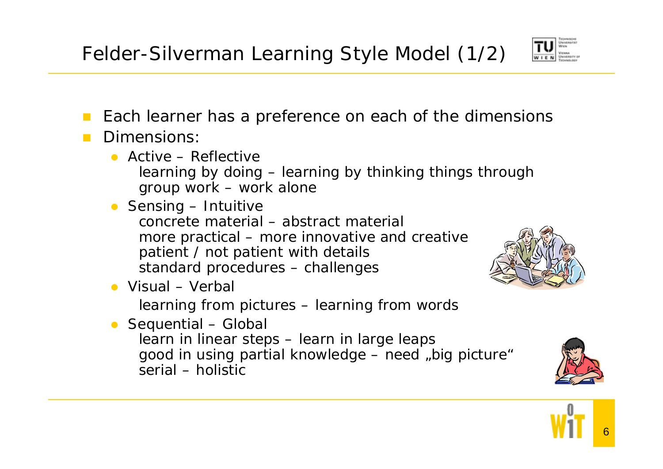

- $\mathcal{L}^{\mathcal{L}}$ Each learner has a preference on each of the dimensions
- Dimensions:
	- Active Reflective learning by doing – learning by thinking things through group work – work alone
	- **•** Sensing Intuitive concrete material – abstract materialmore practical – more innovative and creative patient / not patient with details standard procedures – challenges
	- Visual Verbal

learning from pictures – learning from words

• Sequential – Global learn in linear steps – learn in large leaps good in using partial knowledge - need "big picture" serial – holistic





6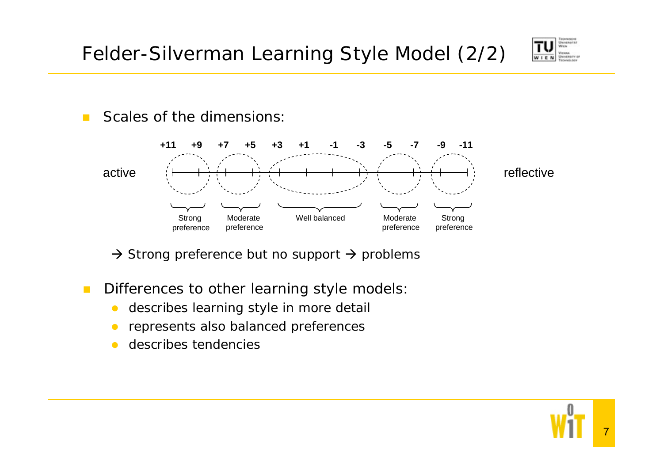Felder-Silverman Learning Style Model (2/2)



 $\mathcal{L}^{\mathcal{L}}$ Scales of the dimensions:



 $\rightarrow$  Strong preference but no support  $\rightarrow$  problems

 $\mathcal{C}^{\mathcal{A}}$ Differences to other learning style models:

- $\bullet$ describes learning style in more detail
- $\bullet$ represents also balanced preferences
- $\bullet$ describes tendencies

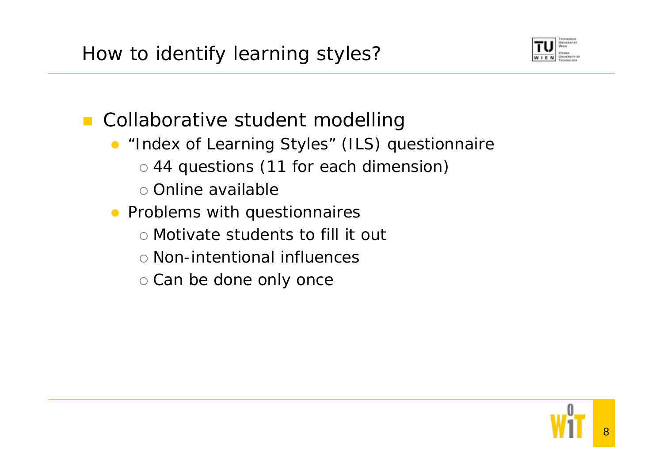

**Collaborative student modelling** 

- "Index of Learning Styles" (ILS) questionnaire
	- o 44 questions (11 for each dimension)
	- o Online available
- **•** Problems with questionnaires
	- { Motivate students to fill it out
	- { Non-intentional influences
	- $\circ$  Can be done only once

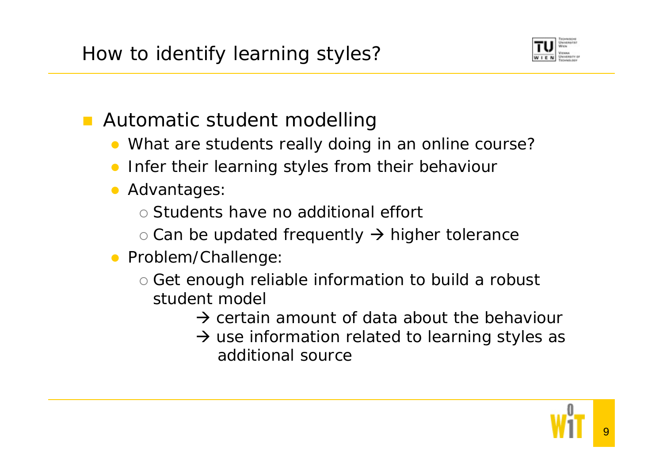

Automatic student modelling

- What are students really doing in an online course?
- $\bullet$ Infer their learning styles from their behaviour
- **Advantages** 
	- { Students have no additional effort
	- $\circ$  Can be updated frequently  $\rightarrow$  higher tolerance
- Problem/Challenge
	- $\circ$  Get enough reliable information to build a robust student model
		- $\rightarrow$  certain amount of data about the behaviour
		- $\rightarrow$  use information related to learning styles as additional source

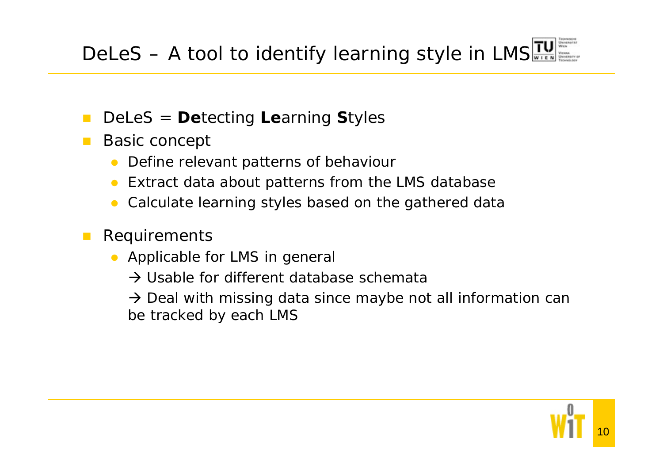- $\mathcal{L}^{\text{max}}$ DeLeS <sup>=</sup>**De**tecting **Le**arning **S**tyles
- Basic concept
	- $\bullet$ Define relevant patterns of behaviour
	- $\bullet$ Extract data about patterns from the LMS database
	- $\bullet$ Calculate learning styles based on the gathered data
- $\mathbb{R}^n$  Requirements
	- Applicable for LMS in general
		- $\rightarrow$  Usable for different database schemata

 $\rightarrow$  Deal with missing data since maybe not all information can be tracked by each LMS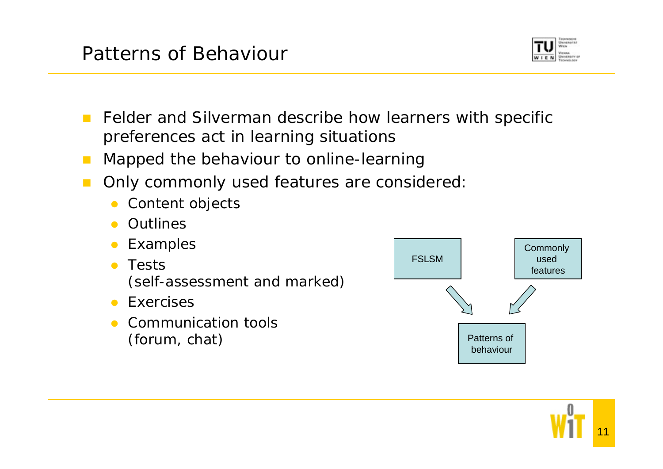

- $\mathbf{r}$  Felder and Silverman describe how learners with specific preferences act in learning situations
- Mapped the behaviour to online-learning
- $\mathcal{L}^{\mathcal{A}}$  Only commonly used features are considered:
	- $\bullet$ Content objects
	- **•** Outlines
	- $\bullet$ Examples
	- $\bullet$  Tests (self-assessment and marked)
	- **•** Exercises
	- $\bullet$  Communication tools (forum, chat)



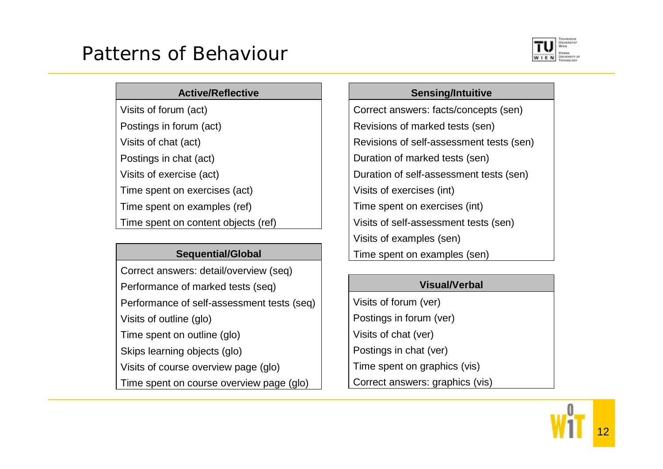## Patterns of Behaviour



### **Active/Reflective**

Visits of forum (act)

Postings in forum (act)

Visits of chat (act)

Postings in chat (act)

Visits of exercise (act)

Time spent on exercises (act)

Time spent on examples (ref)

Time spent on content objects (ref)

### **Sequential/Global**

Correct answers: detail/overview (seq) Performance of marked tests (seq) Performance of self-assessment tests (seq) Visits of outline (glo) Time spent on outline (glo) Skips learning objects (glo) Visits of course overview page (glo) Time spent on course overview page (glo)

**Sensing/Intuitive** 

Correct answers: facts/concepts (sen) Revisions of marked tests (sen) Revisions of self-assessment tests (sen) Duration of marked tests (sen) Duration of self-assessment tests (sen) Visits of exercises (int) Time spent on exercises (int) Visits of self-assessment tests (sen) Visits of examples (sen) Time spent on examples (sen)

### **Visual/Verbal**

Visits of forum (ver) Postings in forum (ver) Visits of chat (ver) Postings in chat (ver) Time spent on graphics (vis) Correct answers: graphics (vis)

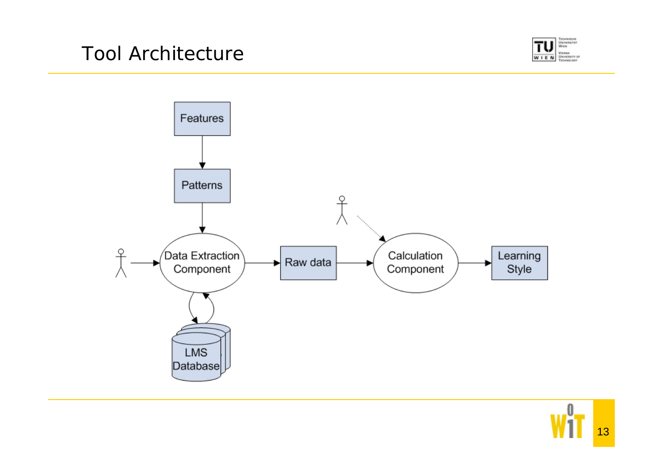



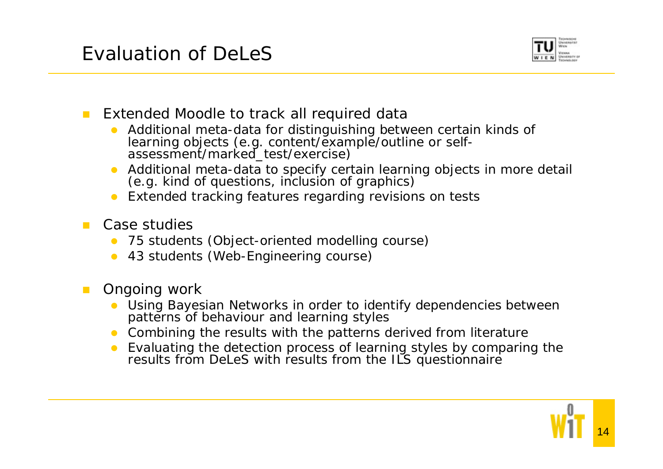

#### $\mathcal{L}_{\mathcal{A}}$ Extended Moodle to track all required data

- $\bullet$ Additional meta-data for distinguishing between certain kinds of learning objects (e.g. content/example/outline or self- assessment/marked\_test/exercise)
- $\bullet$ Additional meta-data to specify certain learning objects in more detail (e.g. kind of questions, inclusion of graphics)
- **•** Extended tracking features regarding revisions on tests
- Case studies
	- $\bullet$ 75 students (Object-oriented modelling course)
	- $\bullet$ 43 students (Web-Engineering course)
- **The Contract**  Ongoing work
	- $\bullet$  Using Bayesian Networks in order to identify dependencies between patterns of behaviour and learning styles
	- Combining the results with the patterns derived from literature
	- $\bullet$  Evaluating the detection process of learning styles by comparing the results from DeLeS with results from the ILS questionnaire

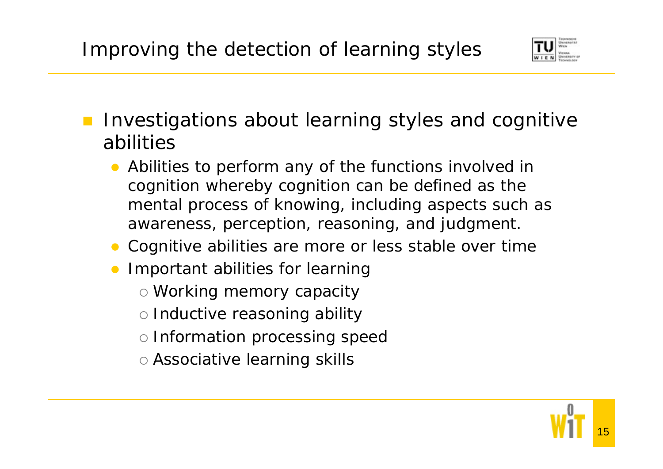

- Investigations about learning styles and cognitive abilities
	- Abilities to perform any of the functions involved in cognition whereby cognition can be defined as the mental process of knowing, including aspects such as awareness, perception, reasoning, and judgment.
	- Cognitive abilities are more or less stable over time
	- **Important abilities for learning** 
		- $\circ$  Working memory capacity
		- $\circ$  Inductive reasoning ability
		- o Information processing speec
		- $\circ$  Associative learning skills

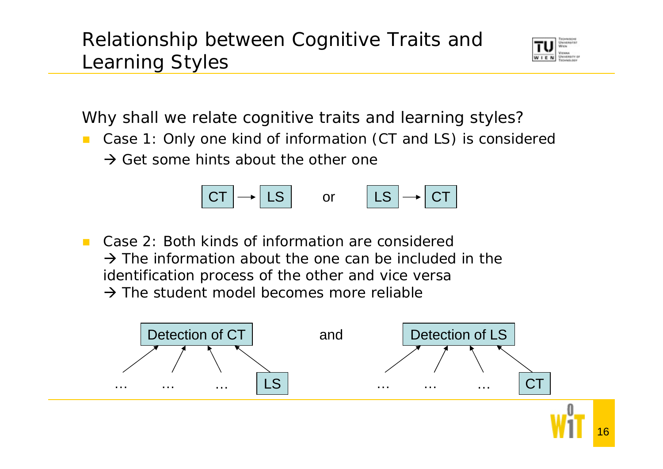## Relationship between Cognitive Traits and Learning Styles



Why shall we relate cognitive traits and learning styles?

 $\mathcal{L}^{\mathcal{L}}$  Case 1: Only one kind of information (CT and LS) is considered  $\rightarrow$  Get some hints about the other one



 $\mathcal{L}^{\mathcal{A}}$  Case 2: Both kinds of information are considered  $\rightarrow$  The information about the one can be included in the identification process of the other and vice versa  $\rightarrow$  The student model becomes more reliable

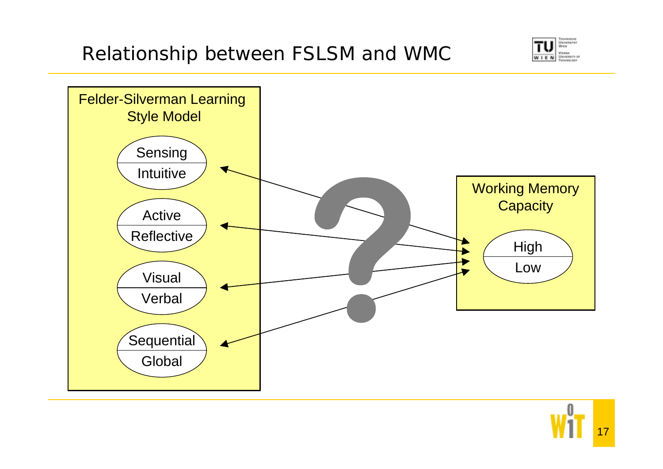



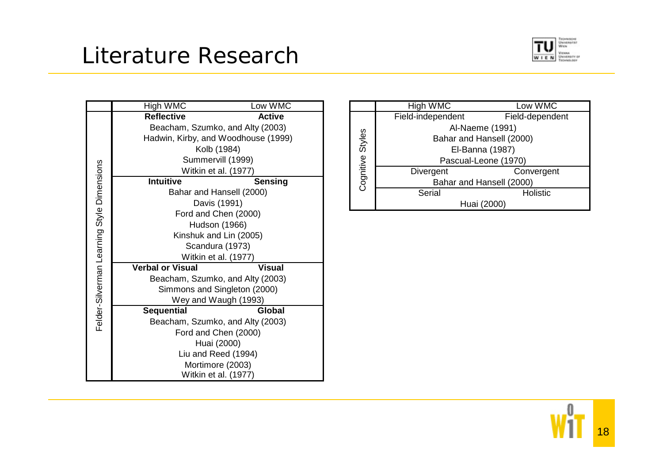## Literature Research



|                                            | High WMC                            | Low WMC       |  |
|--------------------------------------------|-------------------------------------|---------------|--|
|                                            | <b>Reflective</b>                   | <b>Active</b> |  |
|                                            | Beacham, Szumko, and Alty (2003)    |               |  |
|                                            | Hadwin, Kirby, and Woodhouse (1999) |               |  |
|                                            | Kolb (1984)                         |               |  |
|                                            | Summervill (1999)                   |               |  |
|                                            | Witkin et al. (1977)                |               |  |
|                                            | <b>Intuitive</b>                    | Sensing       |  |
| Felder-Silverman Learning Style Dimensions | Bahar and Hansell (2000)            |               |  |
|                                            | Davis (1991)                        |               |  |
|                                            | Ford and Chen (2000)                |               |  |
|                                            | Hudson (1966)                       |               |  |
|                                            | Kinshuk and Lin (2005)              |               |  |
|                                            | Scandura (1973)                     |               |  |
|                                            | Witkin et al. (1977)                |               |  |
|                                            | <b>Verbal or Visual</b>             | <b>Visual</b> |  |
|                                            | Beacham, Szumko, and Alty (2003)    |               |  |
|                                            | Simmons and Singleton (2000)        |               |  |
|                                            | Wey and Waugh (1993)                |               |  |
|                                            | <b>Sequential</b>                   | Global        |  |
|                                            | Beacham, Szumko, and Alty (2003)    |               |  |
|                                            | Ford and Chen (2000)                |               |  |
|                                            | Huai (2000)                         |               |  |
|                                            | Liu and Reed (1994)                 |               |  |
|                                            | Mortimore (2003)                    |               |  |
|                                            | Witkin et al. (1977)                |               |  |

|                  | High WMC                 | Low WMC         |
|------------------|--------------------------|-----------------|
| Cognitive Styles | Field-independent        | Field-dependent |
|                  | Al-Naeme (1991)          |                 |
|                  | Bahar and Hansell (2000) |                 |
|                  | El-Banna (1987)          |                 |
|                  | Pascual-Leone (1970)     |                 |
|                  | <b>Divergent</b>         | Convergent      |
|                  | Bahar and Hansell (2000) |                 |
|                  | Serial                   | <b>Holistic</b> |
|                  | Huai (2000)              |                 |

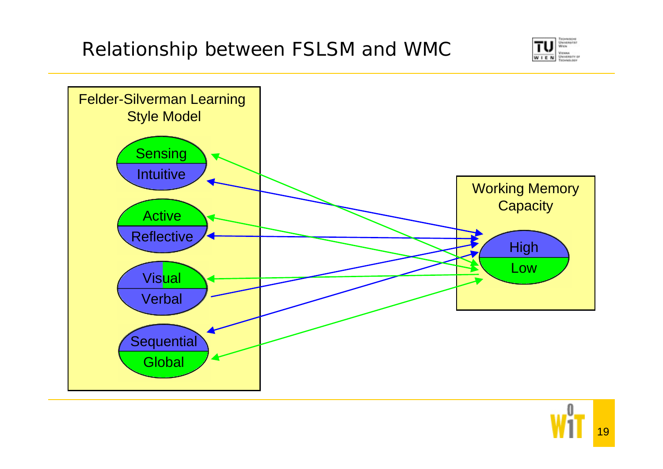



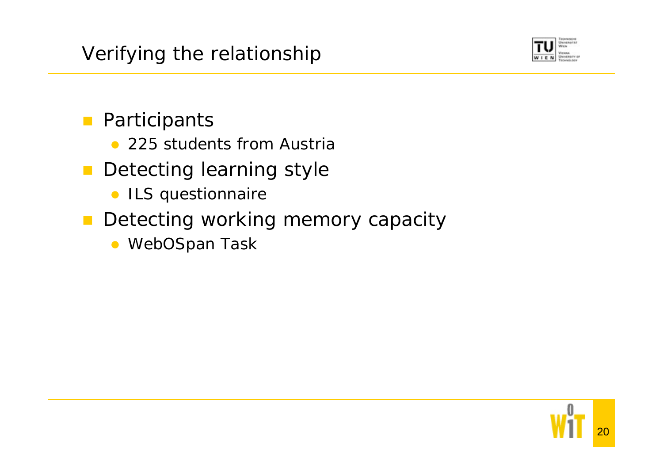

## **Participants**

- 225 students from Austria
- $\mathcal{L}^{\text{max}}$  Detecting learning style
	- ILS questionnaire
- **Detecting working memory capacity** 
	- WebOSpan Task

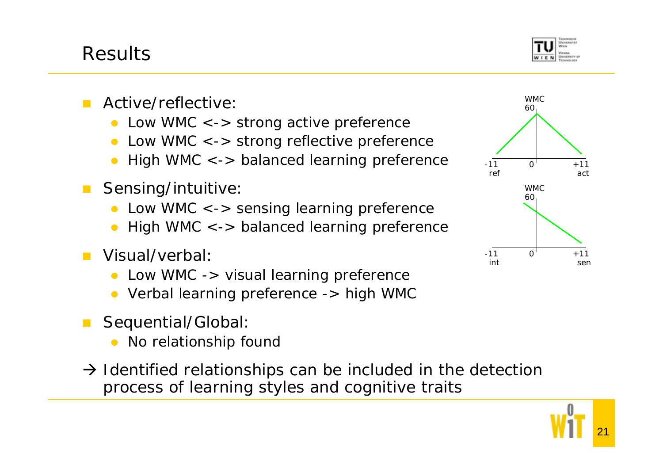

- Active/reflective:
	- $\bullet$ Low WMC <-> strong active preference
	- $\bullet$ Low WMC <-> strong reflective preference
	- $\bullet$ High WMC <-> balanced learning preference
- **The Co**  Sensing/intuitive:
	- $\bullet$ Low WMC <-> sensing learning preference
	- $\bullet$ High WMC <-> balanced learning preference
- Visual/verbal:
	- $\bullet$ Low WMC -> visual learning preference
	- Verbal learning preference -> high WMC
- Sequential/Global:
	- $\bullet$ No relationship found
- $\rightarrow$  Identified relationships can be included in the detection process of learning styles and cognitive traits

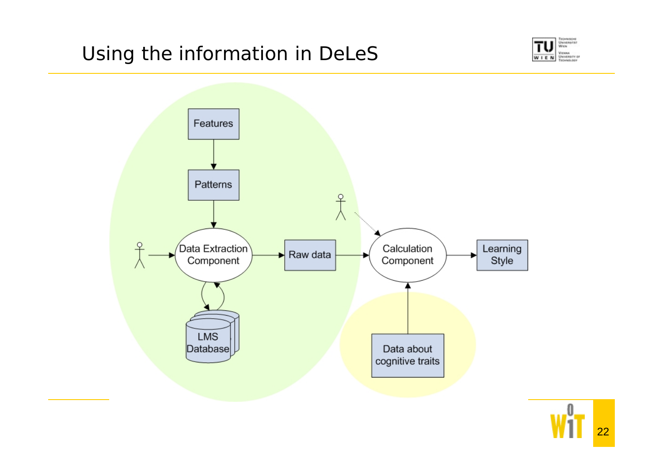## Using the information in DeLeS





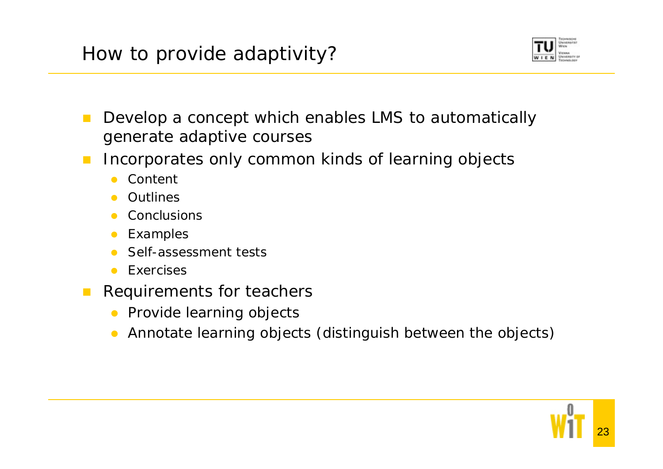

- $\mathcal{L}_{\mathcal{A}}$  Develop a concept which enables LMS to automatically generate adaptive courses
- $\mathcal{L}^{\mathcal{A}}$  Incorporates only common kinds of learning objects
	- $\bullet$ Content
	- $\bullet$ **Outlines**
	- $\bullet$ **Conclusions**
	- $\bullet$ Examples
	- $\bullet$ Self-assessment tests
	- $\bullet$ Exercises
- $\mathcal{L}_{\mathcal{A}}$  Requirements for teachers
	- **•** Provide learning objects
	- $\bullet$ Annotate learning objects (distinguish between the objects)

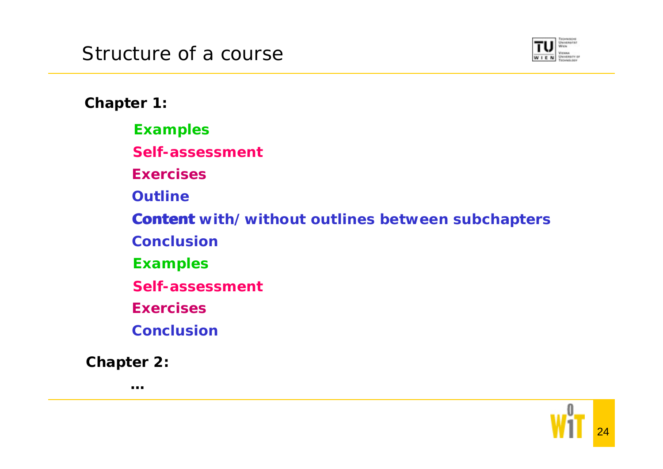

**Chapter 1:**

**Examples**

**Self-assessment**

**Exercises**

**Outline**

**Content Content with/without outlines between subchapters**

**Conclusion**

**Examples**

**Self-assessment**

**Exercises**

**Conclusion**

**Chapter 2:**

**…**

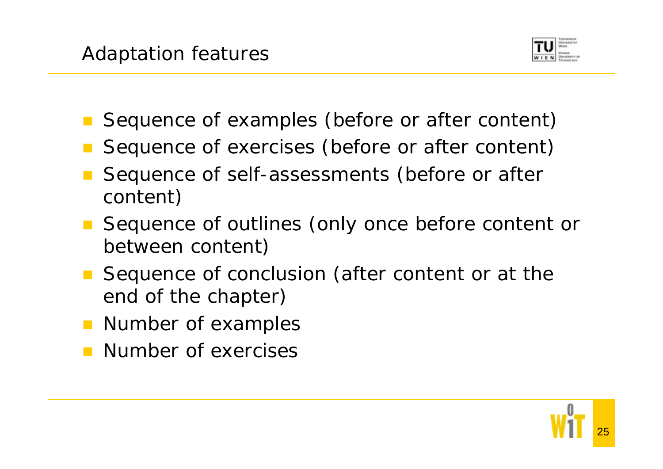

- Sequence of examples (before or after content)
- Sequence of exercises (before or after content)
- Sequence of self-assessments (before or after content)
- Sequence of outlines (only once before content or between content)
- Sequence of conclusion (after content or at the end of the chapter)
- **Number of examples**
- Number of exercises

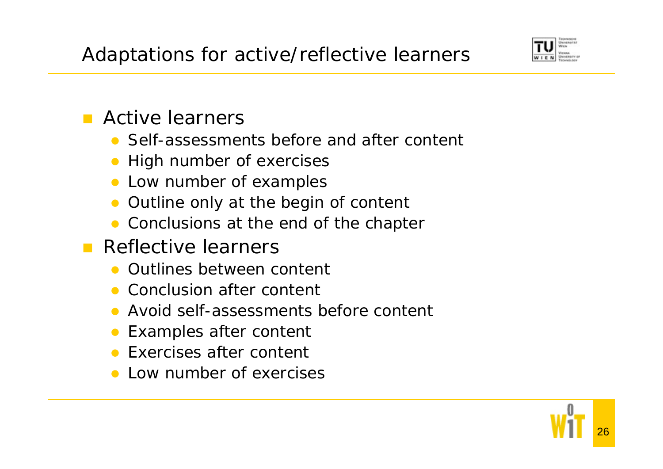

## **E** Active learners

- Self-assessments before and after content
- $\bullet$ High number of exercises
- Low number of examples
- $\bullet$ Outline only at the begin of content
- Conclusions at the end of the chapter
- **Reflective learners** 
	- **Outlines between content**
	- Conclusion after content
	- $\bullet$ Avoid self-assessments before content
	- $\bullet$ Examples after content
	- **Exercises after content**
	- Low number of exercises

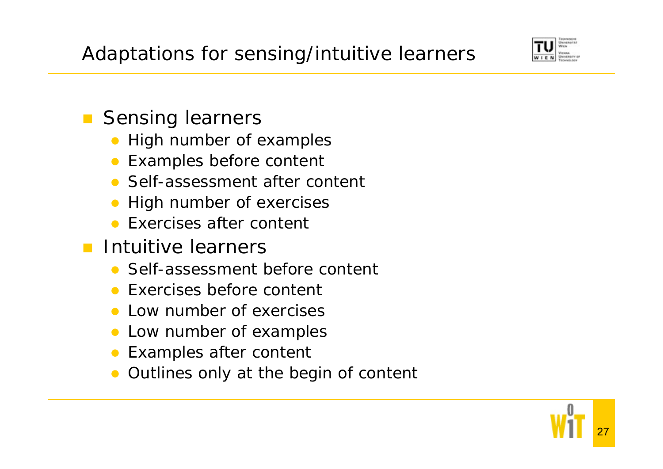

## **Sensing learners**

- $\bullet$ High number of examples
- Examples before content
- Self-assessment after content
- $\bullet$ High number of exercises
- Exercises after content
- **Intuitive learners** 
	- Self-assessment before content
	- **Exercises before content**
	- $\bullet$ Low number of exercises
	- $\bullet$ Low number of examples
	- $\bullet$ Examples after content
	- $\bullet$ Outlines only at the begin of content

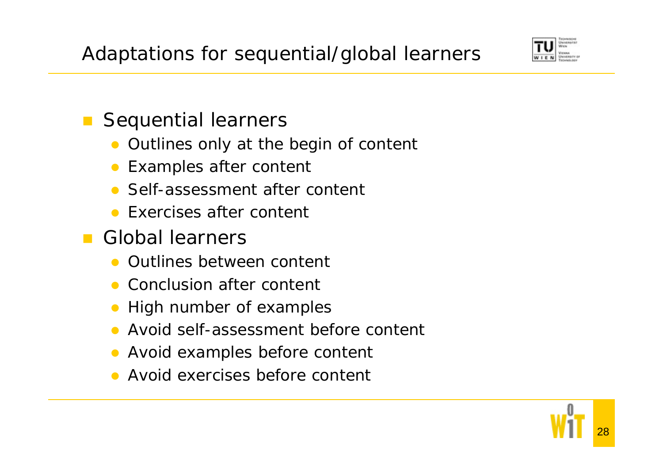

### $\mathcal{L}(\mathcal{A})$ Sequential learners

- $\bullet$ Outlines only at the begin of content
- $\bullet$ Examples after content
- Self-assessment after content
- **Exercises after content**
- **Global learners** 
	- **Outlines between content**
	- Conclusion after content
	- $\bullet$ High number of examples
	- $\bullet$ Avoid self-assessment before content
	- $\bullet$ Avoid examples before content
	- **Avoid exercises before content**

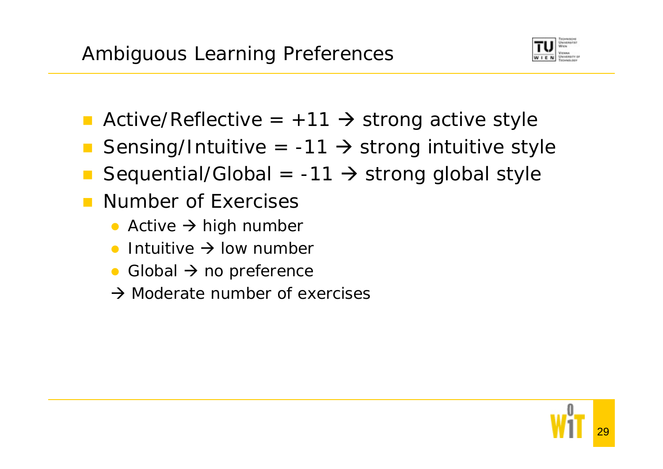

- **Active/Reflective = +11**  $\rightarrow$  **strong active style**
- Sensing/Intuitive =  $-11$   $\rightarrow$  strong intuitive style
- Sequential/Global =  $-11$   $\rightarrow$  strong global style
- Number of Exercises
	- Active  $\rightarrow$  high number
	- $\bullet$ **•** Intuitive  $\rightarrow$  low number
	- $\bullet$ Global  $\rightarrow$  no preference
	- $\rightarrow$  Moderate number of exercises

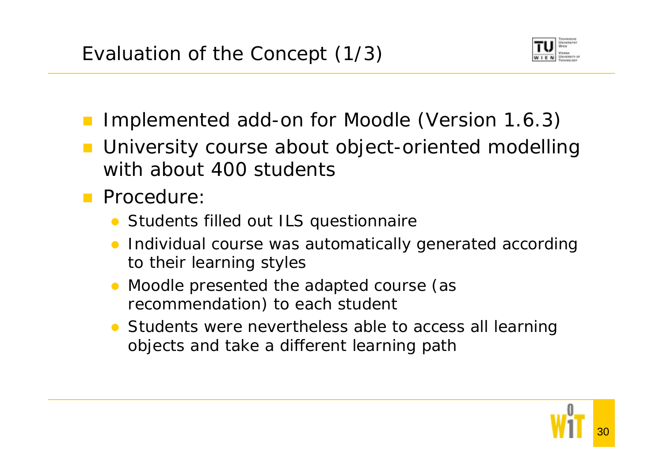

- Implemented add-on for Moodle (Version 1.6.3)
- University course about object-oriented modelling with about 400 students
- **Procedure:** 
	- **•** Students filled out ILS questionnaire
	- Individual course was automatically generated according to their learning styles
	- $\bullet$  Moodle presented the adapted course (as recommendation) to each student
	- Students were nevertheless able to access all learning objects and take a different learning path

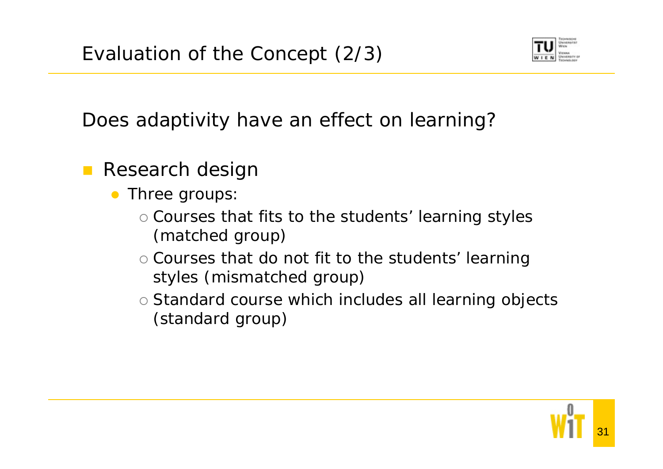

Does adaptivity have an effect on learning?

- $\mathbb{R}^3$  Research design
	- $\bullet$  Three groups:
		- $\circ$  Courses that fits to the students' learning styles (matched group)
		- $\circ$  Courses that do not fit to the students' learning styles (mismatched group)
		- { Standard course which includes all learning objects (standard group)

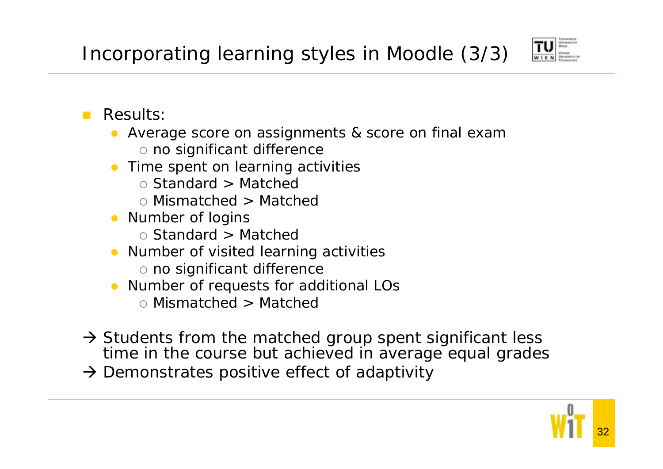

#### $\mathcal{L}^{\mathcal{L}}$ Results:

- Average score on assignments & score on final exam  $\circ$  no significant difference
- Time spent on learning activities
	- Standard > Matchec
	- { Mismatched > Matched
- Number of logins
	- Standard > Matchec
- **•** Number of visited learning activities
	- $\circ$  no significant difference
- Number of requests for additional LOs
	- { Mismatched > Matched
- $\rightarrow$  Students from the matched group spent significant less time in the course but achieved in average equal grades
- $\rightarrow$  Demonstrates positive effect of adaptivity

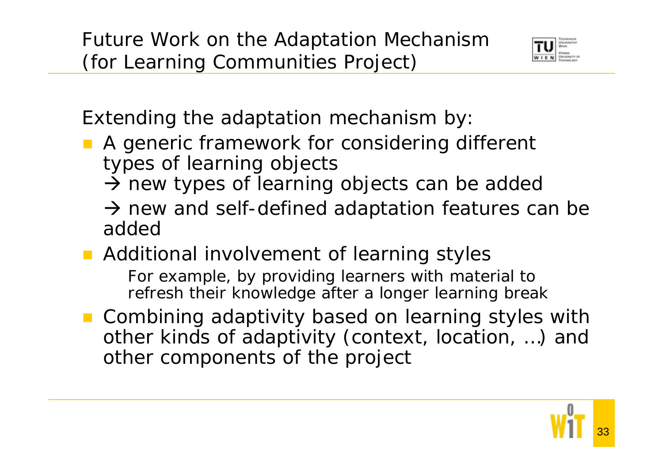

Extending the adaptation mechanism by:

- A generic framework for considering different types of learning objects
	- $\rightarrow$  new types of learning objects can be added
	- $\rightarrow$  new and self-defined adaptation features can be added
- **Additional involvement of learning styles** For example, by providing learners with material to refresh their knowledge after a longer learning break
- Combining adaptivity based on learning styles with other kinds of adaptivity (context, location, …) and other components of the project

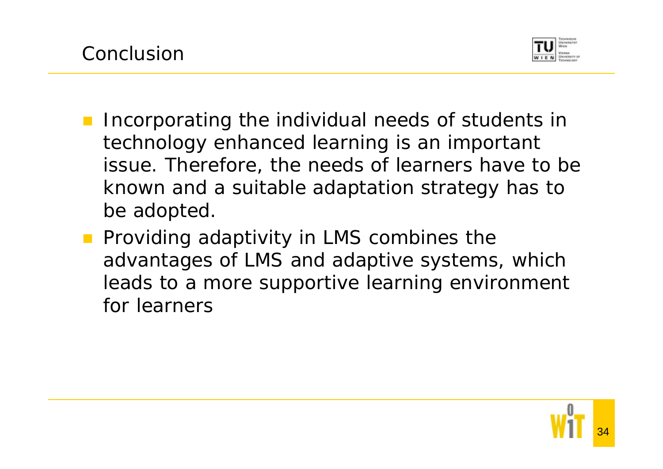

- $\mathcal{L}^{\mathcal{L}}$  Incorporating the individual needs of students in technology enhanced learning is an important issue. Therefore, the needs of learners have to be known and a suitable adaptation strategy has to be adopted.
- **Providing adaptivity in LMS combines the** advantages of LMS and adaptive systems, which leads to a more supportive learning environment for learners